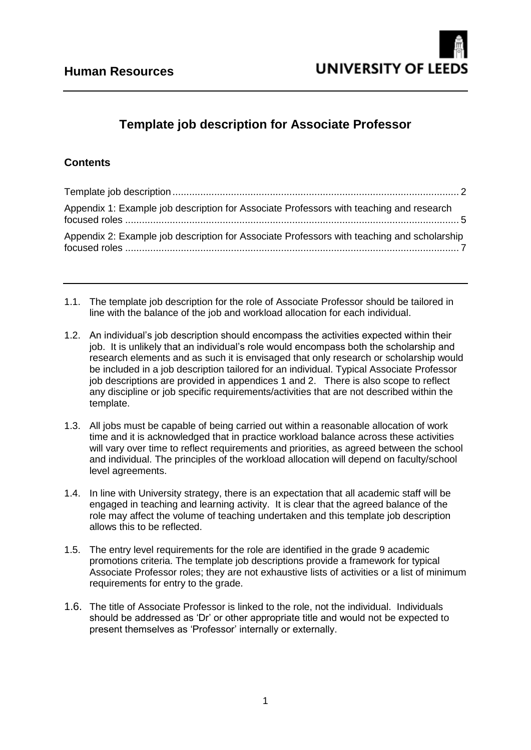# **Template job description for Associate Professor**

# **Contents**

| Appendix 1: Example job description for Associate Professors with teaching and research    |  |
|--------------------------------------------------------------------------------------------|--|
| Appendix 2: Example job description for Associate Professors with teaching and scholarship |  |

- 1.1. The template job description for the role of Associate Professor should be tailored in line with the balance of the job and workload allocation for each individual.
- 1.2. An individual's job description should encompass the activities expected within their job. It is unlikely that an individual's role would encompass both the scholarship and research elements and as such it is envisaged that only research or scholarship would be included in a job description tailored for an individual. Typical Associate Professor job descriptions are provided in appendices 1 and 2. There is also scope to reflect any discipline or job specific requirements/activities that are not described within the template.
- 1.3. All jobs must be capable of being carried out within a reasonable allocation of work time and it is acknowledged that in practice workload balance across these activities will vary over time to reflect requirements and priorities, as agreed between the school and individual. The principles of the workload allocation will depend on faculty/school level agreements.
- 1.4. In line with University strategy, there is an expectation that all academic staff will be engaged in teaching and learning activity. It is clear that the agreed balance of the role may affect the volume of teaching undertaken and this template job description allows this to be reflected.
- 1.5. The entry level requirements for the role are identified in the grade 9 academic promotions criteria. The template job descriptions provide a framework for typical Associate Professor roles; they are not exhaustive lists of activities or a list of minimum requirements for entry to the grade.
- 1.6. The title of Associate Professor is linked to the role, not the individual. Individuals should be addressed as 'Dr' or other appropriate title and would not be expected to present themselves as 'Professor' internally or externally.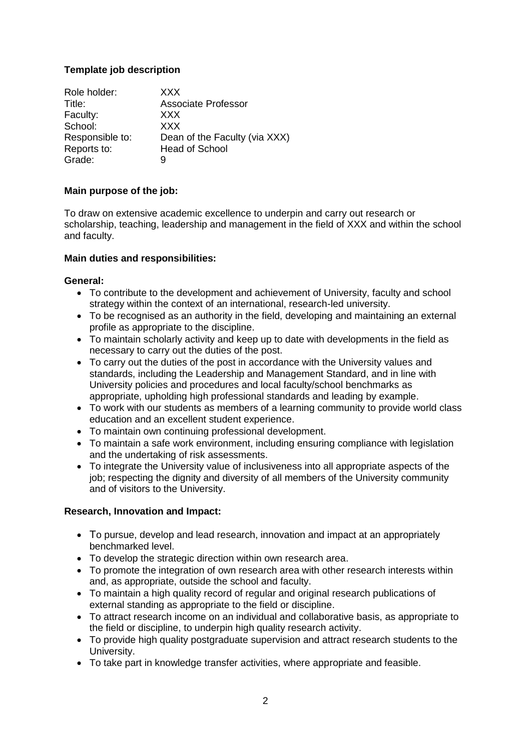# <span id="page-1-0"></span>**Template job description**

| Role holder:    | XXX.                          |
|-----------------|-------------------------------|
| Title:          | Associate Professor           |
| Faculty:        | <b>XXX</b>                    |
| School:         | <b>XXX</b>                    |
| Responsible to: | Dean of the Faculty (via XXX) |
| Reports to:     | <b>Head of School</b>         |
| Grade:          | 9                             |

# **Main purpose of the job:**

To draw on extensive academic excellence to underpin and carry out research or scholarship, teaching, leadership and management in the field of XXX and within the school and faculty.

#### **Main duties and responsibilities:**

#### **General:**

- To contribute to the development and achievement of University, faculty and school strategy within the context of an international, research-led university.
- To be recognised as an authority in the field, developing and maintaining an external profile as appropriate to the discipline.
- To maintain scholarly activity and keep up to date with developments in the field as necessary to carry out the duties of the post.
- To carry out the duties of the post in accordance with the University values and standards, including the Leadership and Management Standard, and in line with University policies and procedures and local faculty/school benchmarks as appropriate, upholding high professional standards and leading by example.
- To work with our students as members of a learning community to provide world class education and an excellent student experience.
- To maintain own continuing professional development.
- To maintain a safe work environment, including ensuring compliance with legislation and the undertaking of risk assessments.
- To integrate the University value of inclusiveness into all appropriate aspects of the job; respecting the dignity and diversity of all members of the University community and of visitors to the University.

# **Research, Innovation and Impact:**

- To pursue, develop and lead research, innovation and impact at an appropriately benchmarked level.
- To develop the strategic direction within own research area.
- To promote the integration of own research area with other research interests within and, as appropriate, outside the school and faculty.
- To maintain a high quality record of regular and original research publications of external standing as appropriate to the field or discipline.
- To attract research income on an individual and collaborative basis, as appropriate to the field or discipline, to underpin high quality research activity.
- To provide high quality postgraduate supervision and attract research students to the University.
- To take part in knowledge transfer activities, where appropriate and feasible.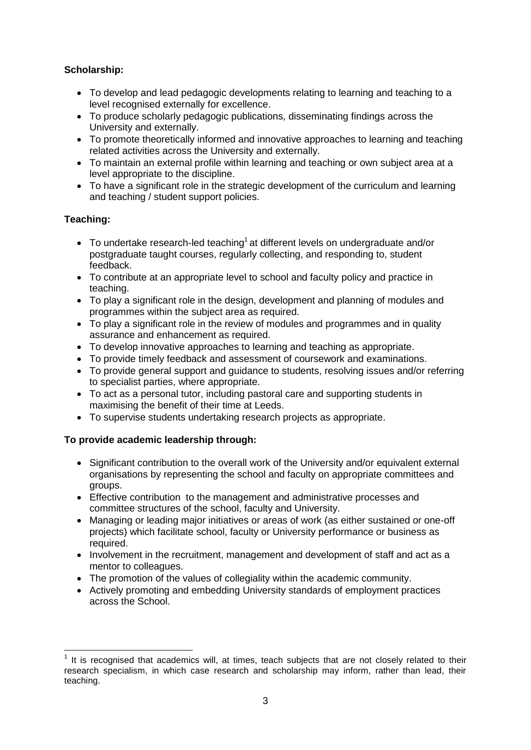# **Scholarship:**

- To develop and lead pedagogic developments relating to learning and teaching to a level recognised externally for excellence.
- To produce scholarly pedagogic publications, disseminating findings across the University and externally.
- To promote theoretically informed and innovative approaches to learning and teaching related activities across the University and externally.
- To maintain an external profile within learning and teaching or own subject area at a level appropriate to the discipline.
- To have a significant role in the strategic development of the curriculum and learning and teaching / student support policies.

# **Teaching:**

- $\bullet$  To undertake research-led teaching<sup>1</sup> at different levels on undergraduate and/or postgraduate taught courses, regularly collecting, and responding to, student feedback.
- To contribute at an appropriate level to school and faculty policy and practice in teaching.
- To play a significant role in the design, development and planning of modules and programmes within the subject area as required.
- To play a significant role in the review of modules and programmes and in quality assurance and enhancement as required.
- To develop innovative approaches to learning and teaching as appropriate.
- To provide timely feedback and assessment of coursework and examinations.
- To provide general support and guidance to students, resolving issues and/or referring to specialist parties, where appropriate.
- To act as a personal tutor, including pastoral care and supporting students in maximising the benefit of their time at Leeds.
- To supervise students undertaking research projects as appropriate.

# **To provide academic leadership through:**

- Significant contribution to the overall work of the University and/or equivalent external organisations by representing the school and faculty on appropriate committees and groups.
- Effective contribution to the management and administrative processes and committee structures of the school, faculty and University.
- Managing or leading major initiatives or areas of work (as either sustained or one-off projects) which facilitate school, faculty or University performance or business as required.
- Involvement in the recruitment, management and development of staff and act as a mentor to colleagues.
- The promotion of the values of collegiality within the academic community.
- Actively promoting and embedding University standards of employment practices across the School.

<sup>1</sup>  $1$  It is recognised that academics will, at times, teach subjects that are not closely related to their research specialism, in which case research and scholarship may inform, rather than lead, their teaching.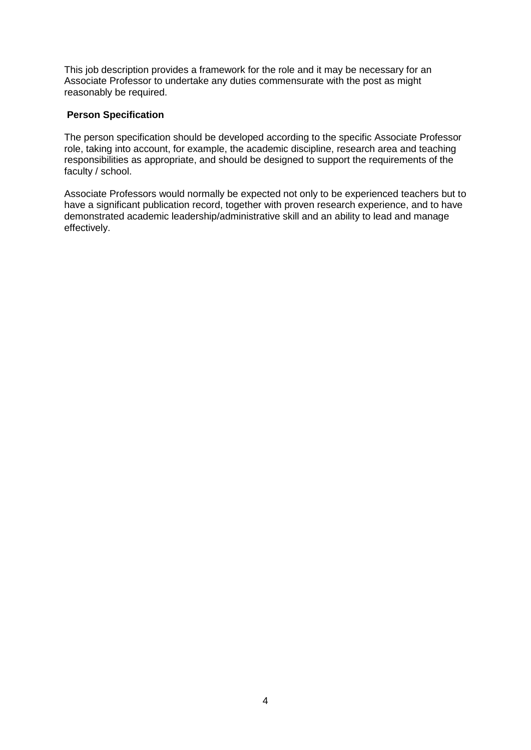This job description provides a framework for the role and it may be necessary for an Associate Professor to undertake any duties commensurate with the post as might reasonably be required.

#### **Person Specification**

The person specification should be developed according to the specific Associate Professor role, taking into account, for example, the academic discipline, research area and teaching responsibilities as appropriate, and should be designed to support the requirements of the faculty / school.

Associate Professors would normally be expected not only to be experienced teachers but to have a significant publication record, together with proven research experience, and to have demonstrated academic leadership/administrative skill and an ability to lead and manage effectively.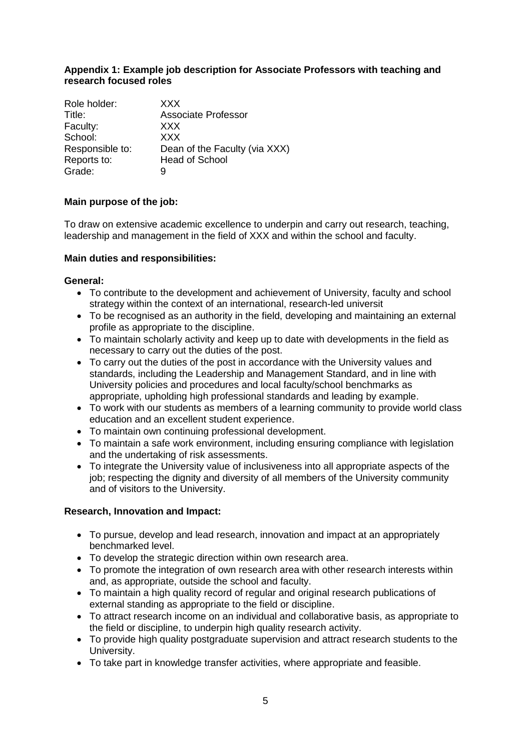#### <span id="page-4-0"></span>**Appendix 1: Example job description for Associate Professors with teaching and research focused roles**

| Role holder:    | <b>XXX</b>                    |
|-----------------|-------------------------------|
| Title:          | <b>Associate Professor</b>    |
| Faculty:        | <b>XXX</b>                    |
| School:         | <b>XXX</b>                    |
| Responsible to: | Dean of the Faculty (via XXX) |
| Reports to:     | <b>Head of School</b>         |
| Grade:          | g                             |

### **Main purpose of the job:**

To draw on extensive academic excellence to underpin and carry out research, teaching, leadership and management in the field of XXX and within the school and faculty.

#### **Main duties and responsibilities:**

#### **General:**

- To contribute to the development and achievement of University, faculty and school strategy within the context of an international, research-led universit
- To be recognised as an authority in the field, developing and maintaining an external profile as appropriate to the discipline.
- To maintain scholarly activity and keep up to date with developments in the field as necessary to carry out the duties of the post.
- To carry out the duties of the post in accordance with the University values and standards, including the Leadership and Management Standard, and in line with University policies and procedures and local faculty/school benchmarks as appropriate, upholding high professional standards and leading by example.
- To work with our students as members of a learning community to provide world class education and an excellent student experience.
- To maintain own continuing professional development.
- To maintain a safe work environment, including ensuring compliance with legislation and the undertaking of risk assessments.
- To integrate the University value of inclusiveness into all appropriate aspects of the job; respecting the dignity and diversity of all members of the University community and of visitors to the University.

#### **Research, Innovation and Impact:**

- To pursue, develop and lead research, innovation and impact at an appropriately benchmarked level.
- To develop the strategic direction within own research area.
- To promote the integration of own research area with other research interests within and, as appropriate, outside the school and faculty.
- To maintain a high quality record of regular and original research publications of external standing as appropriate to the field or discipline.
- To attract research income on an individual and collaborative basis, as appropriate to the field or discipline, to underpin high quality research activity.
- To provide high quality postgraduate supervision and attract research students to the University.
- To take part in knowledge transfer activities, where appropriate and feasible.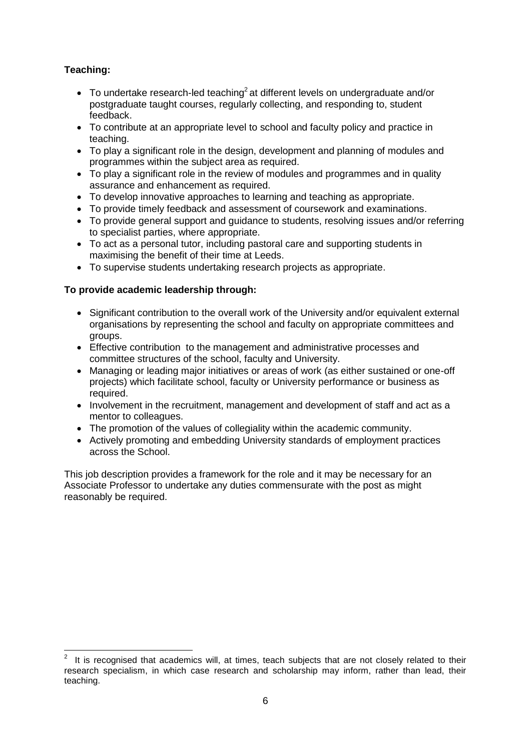# **Teaching:**

- $\bullet$  To undertake research-led teaching<sup>2</sup> at different levels on undergraduate and/or postgraduate taught courses, regularly collecting, and responding to, student feedback.
- To contribute at an appropriate level to school and faculty policy and practice in teaching.
- To play a significant role in the design, development and planning of modules and programmes within the subject area as required.
- To play a significant role in the review of modules and programmes and in quality assurance and enhancement as required.
- To develop innovative approaches to learning and teaching as appropriate.
- To provide timely feedback and assessment of coursework and examinations.
- To provide general support and guidance to students, resolving issues and/or referring to specialist parties, where appropriate.
- To act as a personal tutor, including pastoral care and supporting students in maximising the benefit of their time at Leeds.
- To supervise students undertaking research projects as appropriate.

### **To provide academic leadership through:**

- Significant contribution to the overall work of the University and/or equivalent external organisations by representing the school and faculty on appropriate committees and groups.
- Effective contribution to the management and administrative processes and committee structures of the school, faculty and University.
- Managing or leading major initiatives or areas of work (as either sustained or one-off projects) which facilitate school, faculty or University performance or business as required.
- Involvement in the recruitment, management and development of staff and act as a mentor to colleagues.
- The promotion of the values of collegiality within the academic community.
- Actively promoting and embedding University standards of employment practices across the School.

This job description provides a framework for the role and it may be necessary for an Associate Professor to undertake any duties commensurate with the post as might reasonably be required.

<sup>1</sup> 2 It is recognised that academics will, at times, teach subjects that are not closely related to their research specialism, in which case research and scholarship may inform, rather than lead, their teaching.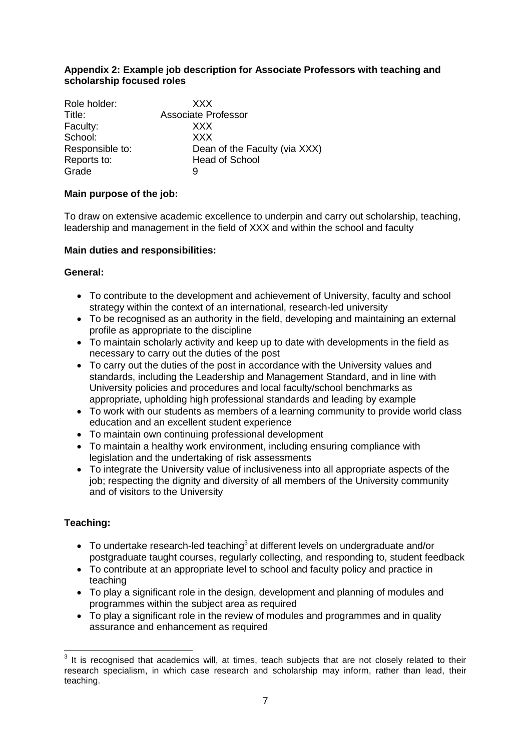#### <span id="page-6-0"></span>**Appendix 2: Example job description for Associate Professors with teaching and scholarship focused roles**

| Role holder:    | <b>XXX</b>                    |
|-----------------|-------------------------------|
| Title:          | <b>Associate Professor</b>    |
| Faculty:        | XXX                           |
| School:         | <b>XXX</b>                    |
| Responsible to: | Dean of the Faculty (via XXX) |
| Reports to:     | <b>Head of School</b>         |
| Grade           | 9                             |

### **Main purpose of the job:**

To draw on extensive academic excellence to underpin and carry out scholarship, teaching, leadership and management in the field of XXX and within the school and faculty

### **Main duties and responsibilities:**

#### **General:**

- To contribute to the development and achievement of University, faculty and school strategy within the context of an international, research-led university
- To be recognised as an authority in the field, developing and maintaining an external profile as appropriate to the discipline
- To maintain scholarly activity and keep up to date with developments in the field as necessary to carry out the duties of the post
- To carry out the duties of the post in accordance with the University values and standards, including the Leadership and Management Standard, and in line with University policies and procedures and local faculty/school benchmarks as appropriate, upholding high professional standards and leading by example
- To work with our students as members of a learning community to provide world class education and an excellent student experience
- To maintain own continuing professional development
- To maintain a healthy work environment, including ensuring compliance with legislation and the undertaking of risk assessments
- To integrate the University value of inclusiveness into all appropriate aspects of the job; respecting the dignity and diversity of all members of the University community and of visitors to the University

# **Teaching:**

1

- $\bullet$  To undertake research-led teaching<sup>3</sup> at different levels on undergraduate and/or postgraduate taught courses, regularly collecting, and responding to, student feedback
- To contribute at an appropriate level to school and faculty policy and practice in teaching
- To play a significant role in the design, development and planning of modules and programmes within the subject area as required
- To play a significant role in the review of modules and programmes and in quality assurance and enhancement as required

 $3$  It is recognised that academics will, at times, teach subjects that are not closely related to their research specialism, in which case research and scholarship may inform, rather than lead, their teaching.